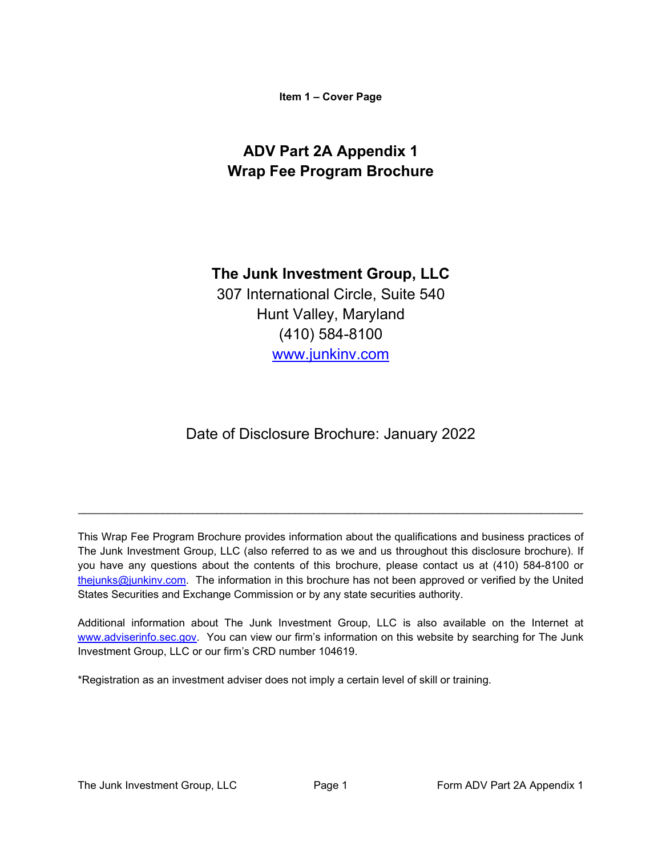**Item 1 – Cover Page**

# <span id="page-0-0"></span>**ADV Part 2A Appendix 1 Wrap Fee Program Brochure**

## **The Junk Investment Group, LLC**

307 International Circle, Suite 540 Hunt Valley, Maryland (410) 584-8100 www.junkinv.com

Date of Disclosure Brochure: January 2022

This Wrap Fee Program Brochure provides information about the qualifications and business practices of The Junk Investment Group, LLC (also referred to as we and us throughout this disclosure brochure). If you have any questions about the contents of this brochure, please contact us at (410) 584-8100 or thejunks@junkinv.com. The information in this brochure has not been approved or verified by the United States Securities and Exchange Commission or by any state securities authority.

\_\_\_\_\_\_\_\_\_\_\_\_\_\_\_\_\_\_\_\_\_\_\_\_\_\_\_\_\_\_\_\_\_\_\_\_\_\_\_\_\_\_\_\_\_\_\_\_\_\_\_\_\_\_\_\_\_\_\_\_\_\_\_\_\_\_\_\_\_\_\_\_\_\_\_\_\_\_\_\_\_\_\_\_

Additional information about The Junk Investment Group, LLC is also available on the Internet at [www.adviserinfo.sec.gov.](http://www.adviserinfo.sec.gov/) You can view our firm's information on this website by searching for The Junk Investment Group, LLC or our firm's CRD number 104619.

\*Registration as an investment adviser does not imply a certain level of skill or training.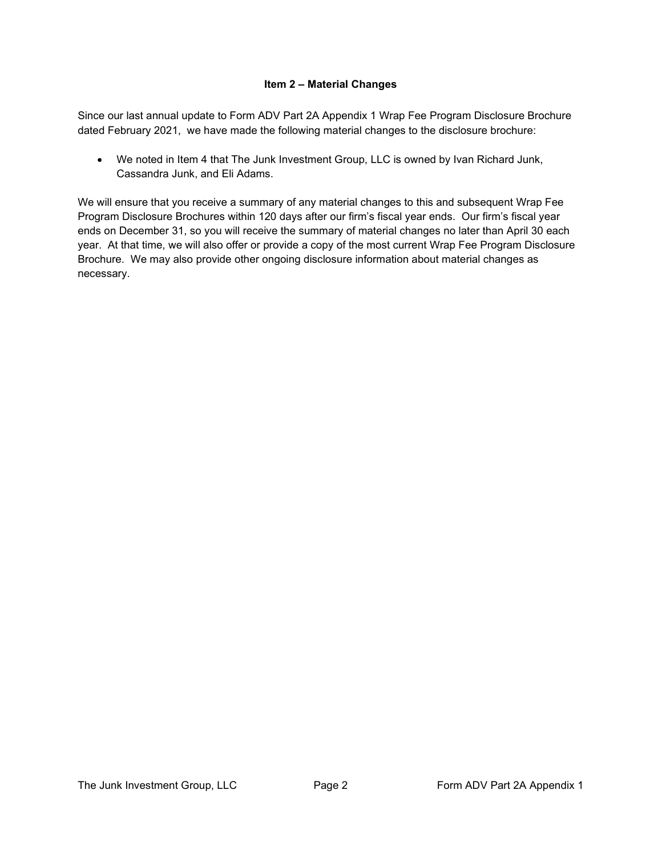#### **Item 2 – Material Changes**

<span id="page-1-0"></span>Since our last annual update to Form ADV Part 2A Appendix 1 Wrap Fee Program Disclosure Brochure dated February 2021, we have made the following material changes to the disclosure brochure:

• We noted in Item 4 that The Junk Investment Group, LLC is owned by Ivan Richard Junk, Cassandra Junk, and Eli Adams.

We will ensure that you receive a summary of any material changes to this and subsequent Wrap Fee Program Disclosure Brochures within 120 days after our firm's fiscal year ends. Our firm's fiscal year ends on December 31, so you will receive the summary of material changes no later than April 30 each year. At that time, we will also offer or provide a copy of the most current Wrap Fee Program Disclosure Brochure. We may also provide other ongoing disclosure information about material changes as necessary.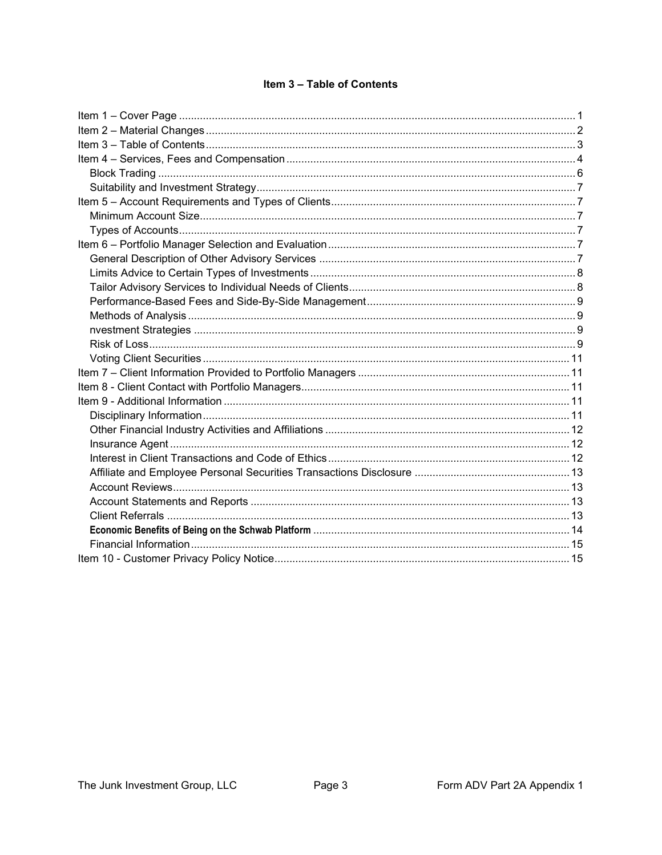#### Item 3 - Table of Contents

<span id="page-2-0"></span>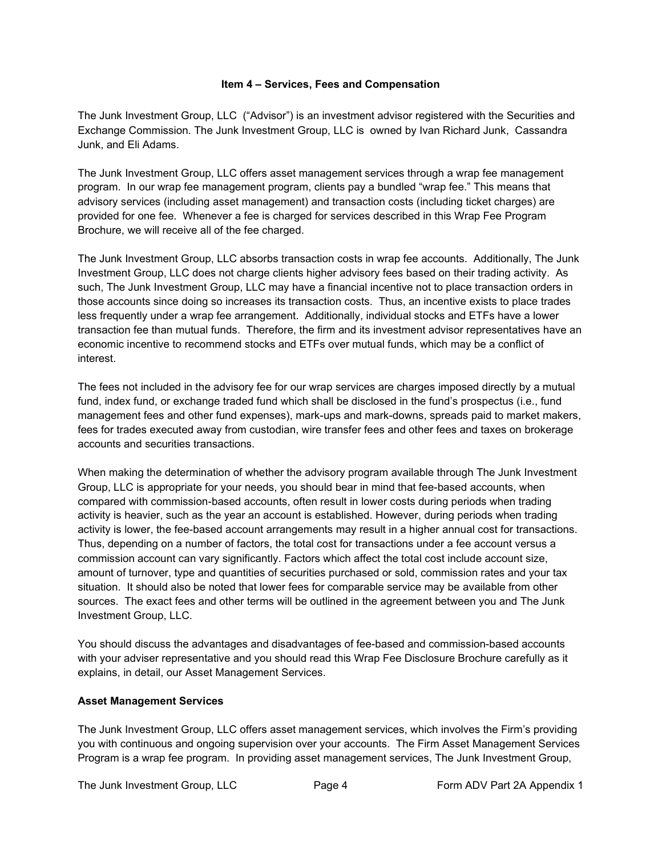#### **Item 4 – Services, Fees and Compensation**

<span id="page-3-0"></span>The Junk Investment Group, LLC ("Advisor") is an investment advisor registered with the Securities and Exchange Commission. The Junk Investment Group, LLC is owned by Ivan Richard Junk, Cassandra Junk, and Eli Adams.

The Junk Investment Group, LLC offers asset management services through a wrap fee management program. In our wrap fee management program, clients pay a bundled "wrap fee." This means that advisory services (including asset management) and transaction costs (including ticket charges) are provided for one fee. Whenever a fee is charged for services described in this Wrap Fee Program Brochure, we will receive all of the fee charged.

The Junk Investment Group, LLC absorbs transaction costs in wrap fee accounts. Additionally, The Junk Investment Group, LLC does not charge clients higher advisory fees based on their trading activity. As such, The Junk Investment Group, LLC may have a financial incentive not to place transaction orders in those accounts since doing so increases its transaction costs. Thus, an incentive exists to place trades less frequently under a wrap fee arrangement. Additionally, individual stocks and ETFs have a lower transaction fee than mutual funds. Therefore, the firm and its investment advisor representatives have an economic incentive to recommend stocks and ETFs over mutual funds, which may be a conflict of interest.

The fees not included in the advisory fee for our wrap services are charges imposed directly by a mutual fund, index fund, or exchange traded fund which shall be disclosed in the fund's prospectus (i.e., fund management fees and other fund expenses), mark-ups and mark-downs, spreads paid to market makers, fees for trades executed away from custodian, wire transfer fees and other fees and taxes on brokerage accounts and securities transactions.

When making the determination of whether the advisory program available through The Junk Investment Group, LLC is appropriate for your needs, you should bear in mind that fee-based accounts, when compared with commission-based accounts, often result in lower costs during periods when trading activity is heavier, such as the year an account is established. However, during periods when trading activity is lower, the fee-based account arrangements may result in a higher annual cost for transactions. Thus, depending on a number of factors, the total cost for transactions under a fee account versus a commission account can vary significantly. Factors which affect the total cost include account size, amount of turnover, type and quantities of securities purchased or sold, commission rates and your tax situation. It should also be noted that lower fees for comparable service may be available from other sources. The exact fees and other terms will be outlined in the agreement between you and The Junk Investment Group, LLC.

You should discuss the advantages and disadvantages of fee-based and commission-based accounts with your adviser representative and you should read this Wrap Fee Disclosure Brochure carefully as it explains, in detail, our Asset Management Services.

#### **Asset Management Services**

The Junk Investment Group, LLC offers asset management services, which involves the Firm's providing you with continuous and ongoing supervision over your accounts. The Firm Asset Management Services Program is a wrap fee program. In providing asset management services, The Junk Investment Group,

The Junk Investment Group, LLC **Page 4** Form ADV Part 2A Appendix 1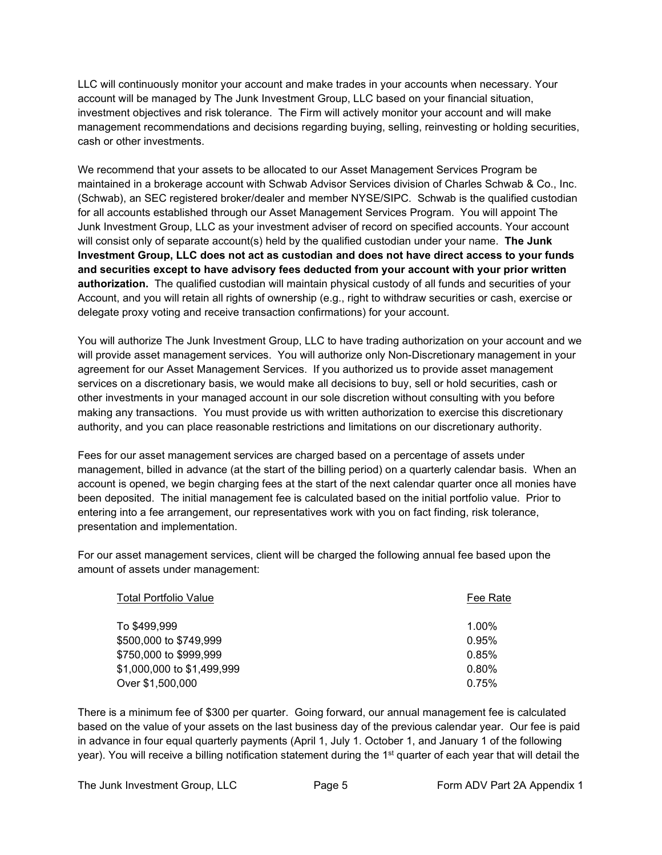LLC will continuously monitor your account and make trades in your accounts when necessary. Your account will be managed by The Junk Investment Group, LLC based on your financial situation, investment objectives and risk tolerance. The Firm will actively monitor your account and will make management recommendations and decisions regarding buying, selling, reinvesting or holding securities, cash or other investments.

We recommend that your assets to be allocated to our Asset Management Services Program be maintained in a brokerage account with Schwab Advisor Services division of Charles Schwab & Co., Inc. (Schwab), an SEC registered broker/dealer and member NYSE/SIPC. Schwab is the qualified custodian for all accounts established through our Asset Management Services Program. You will appoint The Junk Investment Group, LLC as your investment adviser of record on specified accounts. Your account will consist only of separate account(s) held by the qualified custodian under your name. **The Junk Investment Group, LLC does not act as custodian and does not have direct access to your funds and securities except to have advisory fees deducted from your account with your prior written authorization.** The qualified custodian will maintain physical custody of all funds and securities of your Account, and you will retain all rights of ownership (e.g., right to withdraw securities or cash, exercise or delegate proxy voting and receive transaction confirmations) for your account.

You will authorize The Junk Investment Group, LLC to have trading authorization on your account and we will provide asset management services. You will authorize only Non-Discretionary management in your agreement for our Asset Management Services. If you authorized us to provide asset management services on a discretionary basis, we would make all decisions to buy, sell or hold securities, cash or other investments in your managed account in our sole discretion without consulting with you before making any transactions. You must provide us with written authorization to exercise this discretionary authority, and you can place reasonable restrictions and limitations on our discretionary authority.

Fees for our asset management services are charged based on a percentage of assets under management, billed in advance (at the start of the billing period) on a quarterly calendar basis. When an account is opened, we begin charging fees at the start of the next calendar quarter once all monies have been deposited. The initial management fee is calculated based on the initial portfolio value. Prior to entering into a fee arrangement, our representatives work with you on fact finding, risk tolerance, presentation and implementation.

For our asset management services, client will be charged the following annual fee based upon the amount of assets under management:

| <b>Total Portfolio Value</b> | Fee Rate |
|------------------------------|----------|
| To \$499,999                 | $1.00\%$ |
| \$500,000 to \$749,999       | 0.95%    |
| \$750,000 to \$999,999       | 0.85%    |
| \$1,000,000 to \$1,499,999   | 0.80%    |
| Over \$1,500,000             | 0.75%    |

There is a minimum fee of \$300 per quarter. Going forward, our annual management fee is calculated based on the value of your assets on the last business day of the previous calendar year. Our fee is paid in advance in four equal quarterly payments (April 1, July 1. October 1, and January 1 of the following year). You will receive a billing notification statement during the 1<sup>st</sup> quarter of each year that will detail the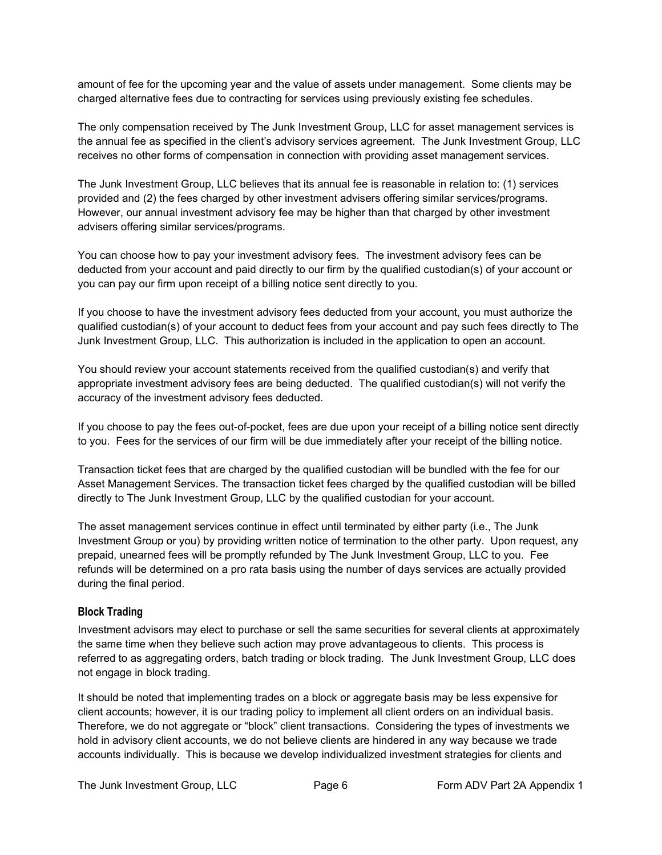amount of fee for the upcoming year and the value of assets under management. Some clients may be charged alternative fees due to contracting for services using previously existing fee schedules.

The only compensation received by The Junk Investment Group, LLC for asset management services is the annual fee as specified in the client's advisory services agreement. The Junk Investment Group, LLC receives no other forms of compensation in connection with providing asset management services.

The Junk Investment Group, LLC believes that its annual fee is reasonable in relation to: (1) services provided and (2) the fees charged by other investment advisers offering similar services/programs. However, our annual investment advisory fee may be higher than that charged by other investment advisers offering similar services/programs.

You can choose how to pay your investment advisory fees. The investment advisory fees can be deducted from your account and paid directly to our firm by the qualified custodian(s) of your account or you can pay our firm upon receipt of a billing notice sent directly to you.

If you choose to have the investment advisory fees deducted from your account, you must authorize the qualified custodian(s) of your account to deduct fees from your account and pay such fees directly to The Junk Investment Group, LLC. This authorization is included in the application to open an account.

You should review your account statements received from the qualified custodian(s) and verify that appropriate investment advisory fees are being deducted. The qualified custodian(s) will not verify the accuracy of the investment advisory fees deducted.

If you choose to pay the fees out-of-pocket, fees are due upon your receipt of a billing notice sent directly to you. Fees for the services of our firm will be due immediately after your receipt of the billing notice.

Transaction ticket fees that are charged by the qualified custodian will be bundled with the fee for our Asset Management Services. The transaction ticket fees charged by the qualified custodian will be billed directly to The Junk Investment Group, LLC by the qualified custodian for your account.

The asset management services continue in effect until terminated by either party (i.e., The Junk Investment Group or you) by providing written notice of termination to the other party. Upon request, any prepaid, unearned fees will be promptly refunded by The Junk Investment Group, LLC to you. Fee refunds will be determined on a pro rata basis using the number of days services are actually provided during the final period.

## <span id="page-5-0"></span>**Block Trading**

Investment advisors may elect to purchase or sell the same securities for several clients at approximately the same time when they believe such action may prove advantageous to clients. This process is referred to as aggregating orders, batch trading or block trading. The Junk Investment Group, LLC does not engage in block trading.

It should be noted that implementing trades on a block or aggregate basis may be less expensive for client accounts; however, it is our trading policy to implement all client orders on an individual basis. Therefore, we do not aggregate or "block" client transactions. Considering the types of investments we hold in advisory client accounts, we do not believe clients are hindered in any way because we trade accounts individually. This is because we develop individualized investment strategies for clients and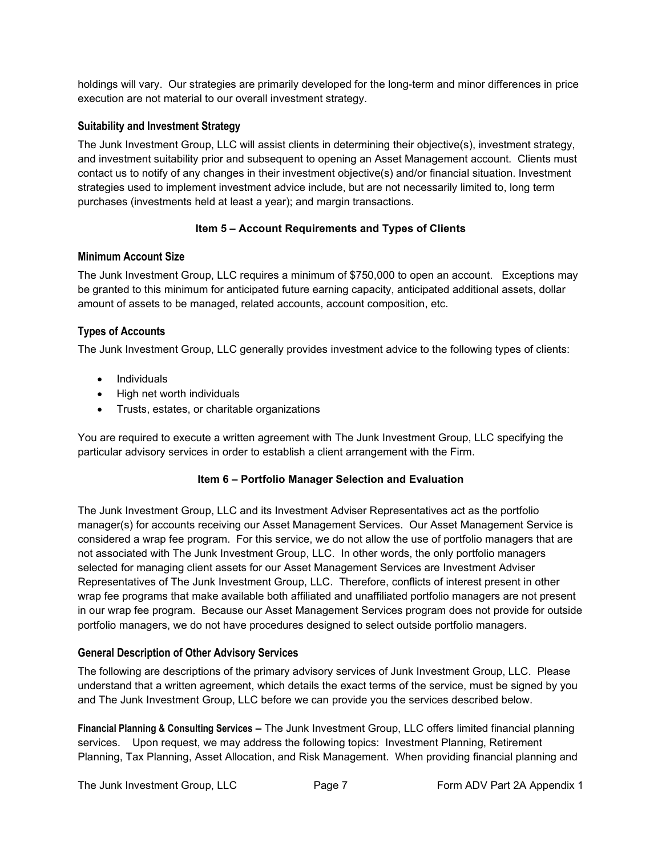holdings will vary. Our strategies are primarily developed for the long-term and minor differences in price execution are not material to our overall investment strategy.

## <span id="page-6-0"></span>**Suitability and Investment Strategy**

The Junk Investment Group, LLC will assist clients in determining their objective(s), investment strategy, and investment suitability prior and subsequent to opening an Asset Management account. Clients must contact us to notify of any changes in their investment objective(s) and/or financial situation. Investment strategies used to implement investment advice include, but are not necessarily limited to, long term purchases (investments held at least a year); and margin transactions.

## **Item 5 – Account Requirements and Types of Clients**

#### <span id="page-6-2"></span><span id="page-6-1"></span>**Minimum Account Size**

The Junk Investment Group, LLC requires a minimum of \$750,000 to open an account. Exceptions may be granted to this minimum for anticipated future earning capacity, anticipated additional assets, dollar amount of assets to be managed, related accounts, account composition, etc.

## <span id="page-6-3"></span>**Types of Accounts**

The Junk Investment Group, LLC generally provides investment advice to the following types of clients:

- Individuals
- High net worth individuals
- Trusts, estates, or charitable organizations

<span id="page-6-4"></span>You are required to execute a written agreement with The Junk Investment Group, LLC specifying the particular advisory services in order to establish a client arrangement with the Firm.

#### **Item 6 – Portfolio Manager Selection and Evaluation**

The Junk Investment Group, LLC and its Investment Adviser Representatives act as the portfolio manager(s) for accounts receiving our Asset Management Services. Our Asset Management Service is considered a wrap fee program. For this service, we do not allow the use of portfolio managers that are not associated with The Junk Investment Group, LLC. In other words, the only portfolio managers selected for managing client assets for our Asset Management Services are Investment Adviser Representatives of The Junk Investment Group, LLC. Therefore, conflicts of interest present in other wrap fee programs that make available both affiliated and unaffiliated portfolio managers are not present in our wrap fee program. Because our Asset Management Services program does not provide for outside portfolio managers, we do not have procedures designed to select outside portfolio managers.

## <span id="page-6-5"></span>**General Description of Other Advisory Services**

The following are descriptions of the primary advisory services of Junk Investment Group, LLC. Please understand that a written agreement, which details the exact terms of the service, must be signed by you and The Junk Investment Group, LLC before we can provide you the services described below.

**Financial Planning & Consulting Services –** The Junk Investment Group, LLC offers limited financial planning services. Upon request, we may address the following topics: Investment Planning, Retirement Planning, Tax Planning, Asset Allocation, and Risk Management. When providing financial planning and

The Junk Investment Group, LLC **Page 7** Form ADV Part 2A Appendix 1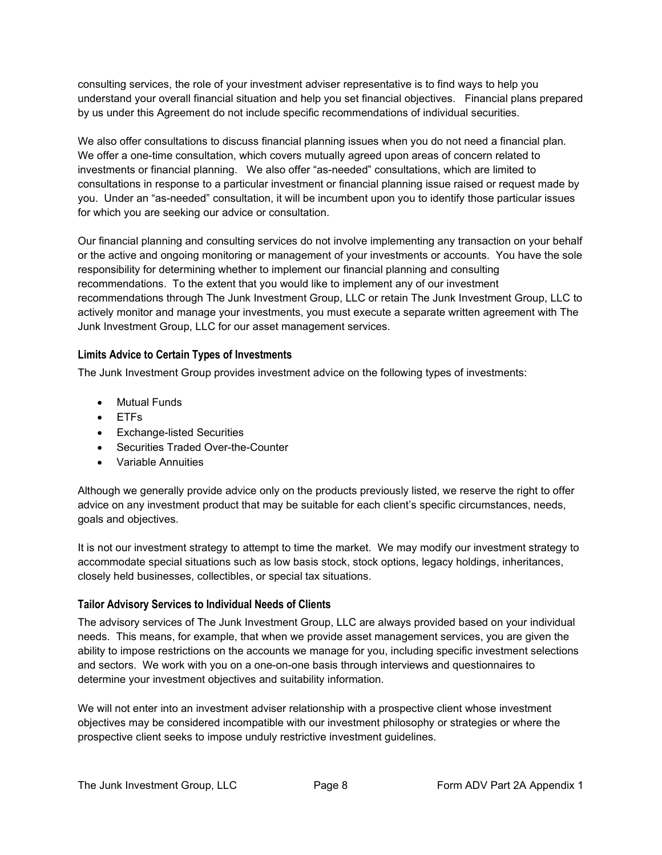consulting services, the [role](http://www.businessdictionary.com/definition/role.html) of your investment adviser representative is to find ways to help you understand your [overall](http://www.investorwords.com/3267/net_worth.html) financial situation and help you set financial [objectives.](http://www.investorwords.com/3372/objective.html) Financial plans prepared by us under this Agreement do not include specific recommendations of individual securities.

We also offer consultations to discuss financial planning issues when you do not need a financial plan. We offer a one-time consultation, which covers mutually agreed upon areas of concern related to investments or financial planning. We also offer "as-needed" consultations, which are limited to consultations in response to a particular investment or financial planning issue raised or request made by you. Under an "as-needed" consultation, it will be incumbent upon you to identify those particular issues for which you are seeking our advice or consultation.

Our financial planning and consulting services do not involve implementing any transaction on your behalf or the active and ongoing monitoring or management of your investments or accounts. You have the sole responsibility for determining whether to implement our financial planning and consulting recommendations. To the extent that you would like to implement any of our investment recommendations through The Junk Investment Group, LLC or retain The Junk Investment Group, LLC to actively monitor and manage your investments, you must execute a separate written agreement with The Junk Investment Group, LLC for our asset management services.

## <span id="page-7-0"></span>**Limits Advice to Certain Types of Investments**

The Junk Investment Group provides investment advice on the following types of investments:

- Mutual Funds
- ETFs
- Exchange-listed Securities
- Securities Traded Over-the-Counter
- Variable Annuities

Although we generally provide advice only on the products previously listed, we reserve the right to offer advice on any investment product that may be suitable for each client's specific circumstances, needs, goals and objectives.

It is not our investment strategy to attempt to time the market. We may modify our investment strategy to accommodate special situations such as low basis stock, stock options, legacy holdings, inheritances, closely held businesses, collectibles, or special tax situations.

## <span id="page-7-1"></span>**Tailor Advisory Services to Individual Needs of Clients**

The advisory services of The Junk Investment Group, LLC are always provided based on your individual needs. This means, for example, that when we provide asset management services, you are given the ability to impose restrictions on the accounts we manage for you, including specific investment selections and sectors. We work with you on a one-on-one basis through interviews and questionnaires to determine your investment objectives and suitability information.

We will not enter into an investment adviser relationship with a prospective client whose investment objectives may be considered incompatible with our investment philosophy or strategies or where the prospective client seeks to impose unduly restrictive investment guidelines.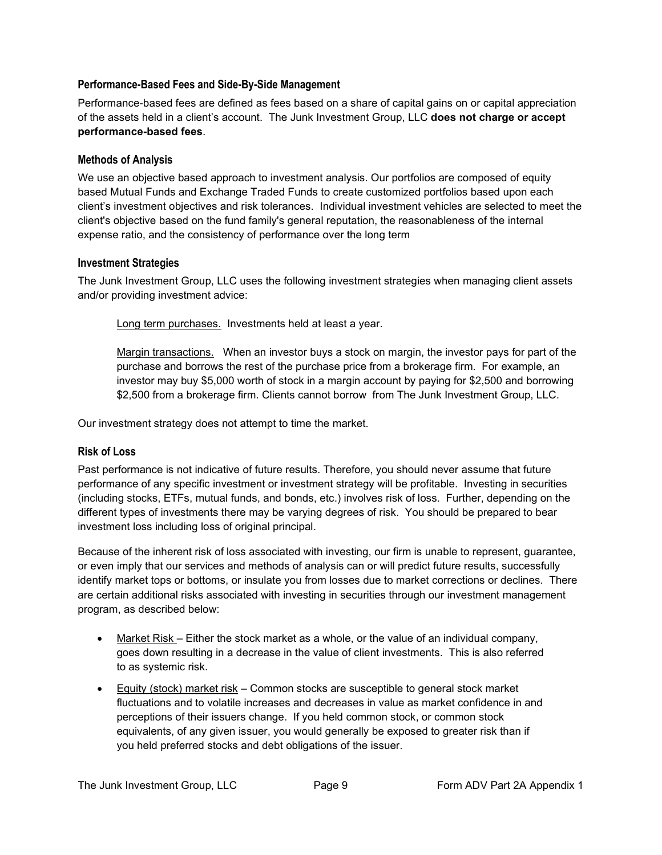## <span id="page-8-0"></span>**Performance-Based Fees and Side-By-Side Management**

Performance-based fees are defined as fees based on a share of capital gains on or capital appreciation of the assets held in a client's account. The Junk Investment Group, LLC **does not charge or accept performance-based fees**.

#### <span id="page-8-1"></span>**Methods of Analysis**

We use an objective based approach to investment analysis. Our portfolios are composed of equity based Mutual Funds and Exchange Traded Funds to create customized portfolios based upon each client's investment objectives and risk tolerances. Individual investment vehicles are selected to meet the client's objective based on the fund family's general reputation, the reasonableness of the internal expense ratio, and the consistency of performance over the long term

#### <span id="page-8-2"></span>**Investment Strategies**

The Junk Investment Group, LLC uses the following investment strategies when managing client assets and/or providing investment advice:

Long term purchases. Investments held at least a year.

Margin transactions. When an investor buys a stock on margin, the investor pays for part of the purchase and borrows the rest of the purchase price from a brokerage firm. For example, an investor may buy \$5,000 worth of stock in a margin account by paying for \$2,500 and borrowing \$2,500 from a brokerage firm. Clients cannot borrow from The Junk Investment Group, LLC.

Our investment strategy does not attempt to time the market.

## <span id="page-8-3"></span>**Risk of Loss**

Past performance is not indicative of future results. Therefore, you should never assume that future performance of any specific investment or investment strategy will be profitable. Investing in securities (including stocks, ETFs, mutual funds, and bonds, etc.) involves risk of loss. Further, depending on the different types of investments there may be varying degrees of risk. You should be prepared to bear investment loss including loss of original principal.

Because of the inherent risk of loss associated with investing, our firm is unable to represent, guarantee, or even imply that our services and methods of analysis can or will predict future results, successfully identify market tops or bottoms, or insulate you from losses due to market corrections or declines. There are certain additional risks associated with investing in securities through our investment management program, as described below:

- Market Risk Either the stock market as a whole, or the value of an individual company, goes down resulting in a decrease in the value of client investments. This is also referred to as systemic risk.
- Equity (stock) market risk Common stocks are susceptible to general stock market fluctuations and to volatile increases and decreases in value as market confidence in and perceptions of their issuers change. If you held common stock, or common stock equivalents, of any given issuer, you would generally be exposed to greater risk than if you held preferred stocks and debt obligations of the issuer.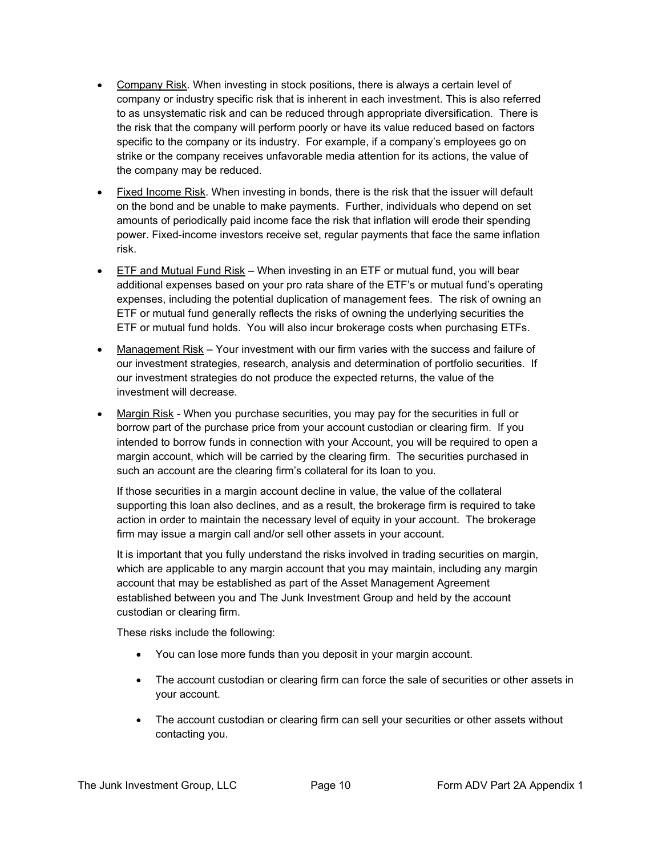- Company Risk. When investing in stock positions, there is always a certain level of company or industry specific risk that is inherent in each investment. This is also referred to as unsystematic risk and can be reduced through appropriate diversification. There is the risk that the company will perform poorly or have its value reduced based on factors specific to the company or its industry. For example, if a company's employees go on strike or the company receives unfavorable media attention for its actions, the value of the company may be reduced.
- Fixed Income Risk. When investing in bonds, there is the risk that the issuer will default on the bond and be unable to make payments. Further, individuals who depend on set amounts of periodically paid income face the risk that inflation will erode their spending power. Fixed-income investors receive set, regular payments that face the same inflation risk.
- ETF and Mutual Fund Risk When investing in an ETF or mutual fund, you will bear additional expenses based on your pro rata share of the ETF's or mutual fund's operating expenses, including the potential duplication of management fees. The risk of owning an ETF or mutual fund generally reflects the risks of owning the underlying securities the ETF or mutual fund holds. You will also incur brokerage costs when purchasing ETFs.
- Management Risk Your investment with our firm varies with the success and failure of our investment strategies, research, analysis and determination of portfolio securities. If our investment strategies do not produce the expected returns, the value of the investment will decrease.
- Margin Risk When you purchase securities, you may pay for the securities in full or borrow part of the purchase price from your account custodian or clearing firm. If you intended to borrow funds in connection with your Account, you will be required to open a margin account, which will be carried by the clearing firm. The securities purchased in such an account are the clearing firm's collateral for its loan to you.

If those securities in a margin account decline in value, the value of the collateral supporting this loan also declines, and as a result, the brokerage firm is required to take action in order to maintain the necessary level of equity in your account. The brokerage firm may issue a margin call and/or sell other assets in your account.

It is important that you fully understand the risks involved in trading securities on margin, which are applicable to any margin account that you may maintain, including any margin account that may be established as part of the Asset Management Agreement established between you and The Junk Investment Group and held by the account custodian or clearing firm.

These risks include the following:

- You can lose more funds than you deposit in your margin account.
- The account custodian or clearing firm can force the sale of securities or other assets in your account.
- The account custodian or clearing firm can sell your securities or other assets without contacting you.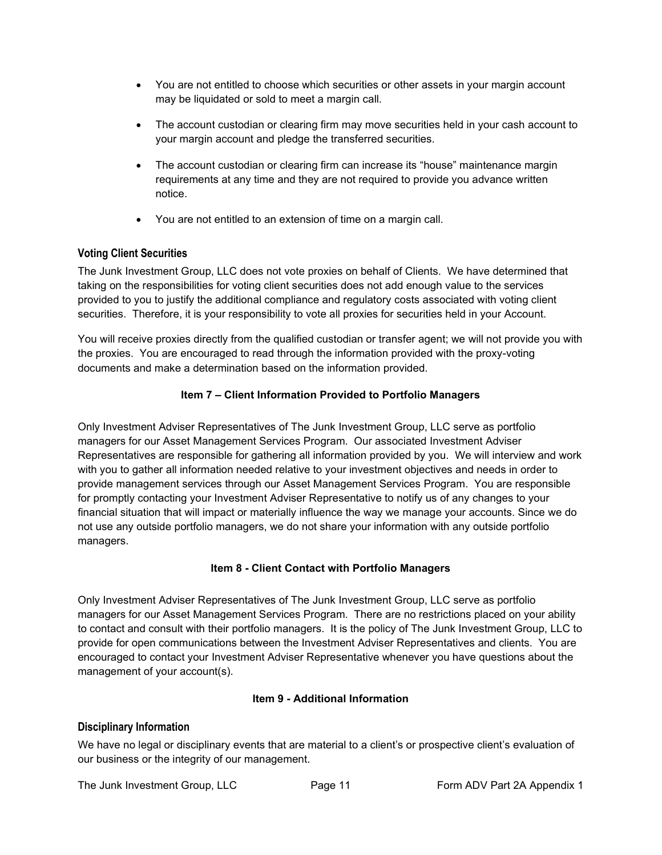- You are not entitled to choose which securities or other assets in your margin account may be liquidated or sold to meet a margin call.
- The account custodian or clearing firm may move securities held in your cash account to your margin account and pledge the transferred securities.
- The account custodian or clearing firm can increase its "house" maintenance margin requirements at any time and they are not required to provide you advance written notice.
- You are not entitled to an extension of time on a margin call.

## <span id="page-10-0"></span>**Voting Client Securities**

The Junk Investment Group, LLC does not vote proxies on behalf of Clients. We have determined that taking on the responsibilities for voting client securities does not add enough value to the services provided to you to justify the additional compliance and regulatory costs associated with voting client securities. Therefore, it is your responsibility to vote all proxies for securities held in your Account.

You will receive proxies directly from the qualified custodian or transfer agent; we will not provide you with the proxies. You are encouraged to read through the information provided with the proxy-voting documents and make a determination based on the information provided.

#### **Item 7 – Client Information Provided to Portfolio Managers**

<span id="page-10-1"></span>Only Investment Adviser Representatives of The Junk Investment Group, LLC serve as portfolio managers for our Asset Management Services Program. Our associated Investment Adviser Representatives are responsible for gathering all information provided by you. We will interview and work with you to gather all information needed relative to your investment objectives and needs in order to provide management services through our Asset Management Services Program. You are responsible for promptly contacting your Investment Adviser Representative to notify us of any changes to your financial situation that will impact or materially influence the way we manage your accounts. Since we do not use any outside portfolio managers, we do not share your information with any outside portfolio managers.

#### **Item 8 - Client Contact with Portfolio Managers**

<span id="page-10-2"></span>Only Investment Adviser Representatives of The Junk Investment Group, LLC serve as portfolio managers for our Asset Management Services Program. There are no restrictions placed on your ability to contact and consult with their portfolio managers. It is the policy of The Junk Investment Group, LLC to provide for open communications between the Investment Adviser Representatives and clients. You are encouraged to contact your Investment Adviser Representative whenever you have questions about the management of your account(s).

#### **Item 9 - Additional Information**

#### <span id="page-10-4"></span><span id="page-10-3"></span>**Disciplinary Information**

We have no legal or disciplinary events that are material to a client's or prospective client's evaluation of our business or the integrity of our management.

The Junk Investment Group, LLC Page 11 Form ADV Part 2A Appendix 1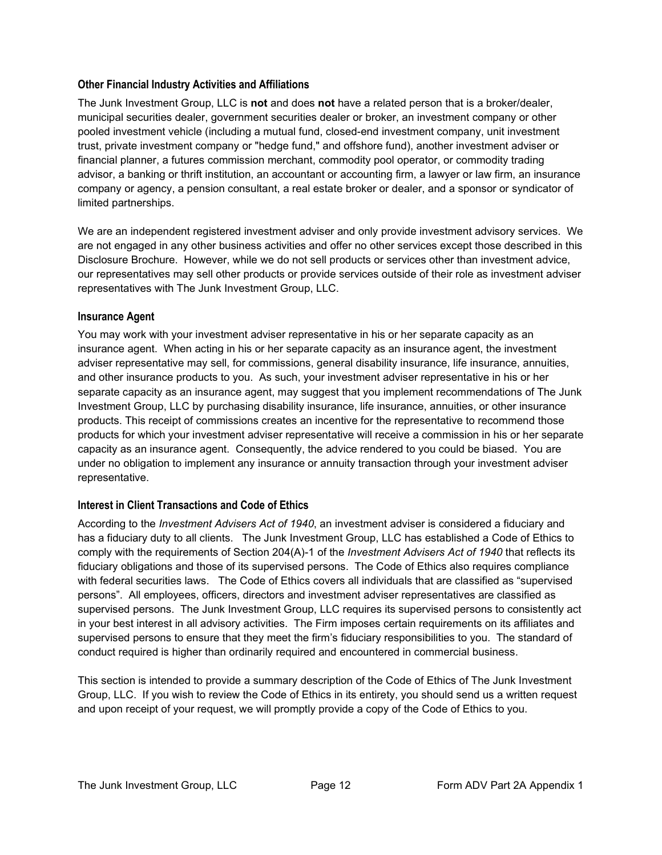## <span id="page-11-0"></span>**Other Financial Industry Activities and Affiliations**

The Junk Investment Group, LLC is **not** and does **not** have a related person that is a broker/dealer, municipal securities dealer, government securities dealer or broker, an investment company or other pooled investment vehicle (including a mutual fund, closed-end investment company, unit investment trust, private investment company or "hedge fund," and offshore fund), another investment adviser or financial planner, a futures commission merchant, commodity pool operator, or commodity trading advisor, a banking or thrift institution, an accountant or accounting firm, a lawyer or law firm, an insurance company or agency, a pension consultant, a real estate broker or dealer, and a sponsor or syndicator of limited partnerships.

We are an independent registered investment adviser and only provide investment advisory services. We are not engaged in any other business activities and offer no other services except those described in this Disclosure Brochure. However, while we do not sell products or services other than investment advice, our representatives may sell other products or provide services outside of their role as investment adviser representatives with The Junk Investment Group, LLC.

#### <span id="page-11-1"></span>**Insurance Agent**

You may work with your investment adviser representative in his or her separate capacity as an insurance agent. When acting in his or her separate capacity as an insurance agent, the investment adviser representative may sell, for commissions, general disability insurance, life insurance, annuities, and other insurance products to you. As such, your investment adviser representative in his or her separate capacity as an insurance agent, may suggest that you implement recommendations of The Junk Investment Group, LLC by purchasing disability insurance, life insurance, annuities, or other insurance products. This receipt of commissions creates an incentive for the representative to recommend those products for which your investment adviser representative will receive a commission in his or her separate capacity as an insurance agent. Consequently, the advice rendered to you could be biased. You are under no obligation to implement any insurance or annuity transaction through your investment adviser representative.

## <span id="page-11-2"></span>**Interest in Client Transactions and Code of Ethics**

According to the *Investment Advisers Act of 1940*, an investment adviser is considered a fiduciary and has a fiduciary duty to all clients. The Junk Investment Group, LLC has established a Code of Ethics to comply with the requirements of Section 204(A)-1 of the *Investment Advisers Act of 1940* that reflects its fiduciary obligations and those of its supervised persons. The Code of Ethics also requires compliance with federal securities laws. The Code of Ethics covers all individuals that are classified as "supervised persons". All employees, officers, directors and investment adviser representatives are classified as supervised persons. The Junk Investment Group, LLC requires its supervised persons to consistently act in your best interest in all advisory activities. The Firm imposes certain requirements on its affiliates and supervised persons to ensure that they meet the firm's fiduciary responsibilities to you. The standard of conduct required is higher than ordinarily required and encountered in commercial business.

This section is intended to provide a summary description of the Code of Ethics of The Junk Investment Group, LLC. If you wish to review the Code of Ethics in its entirety, you should send us a written request and upon receipt of your request, we will promptly provide a copy of the Code of Ethics to you.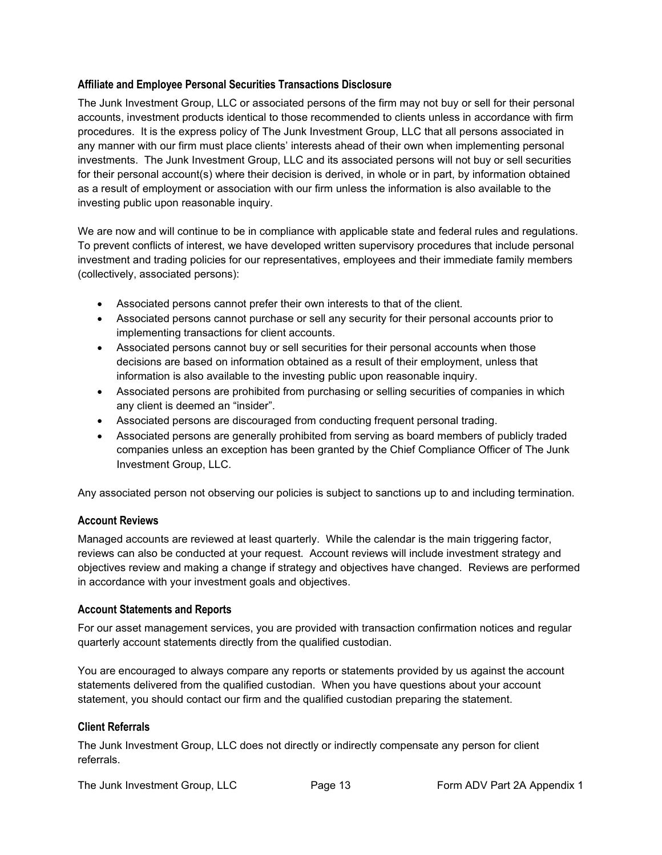#### <span id="page-12-0"></span>**Affiliate and Employee Personal Securities Transactions Disclosure**

The Junk Investment Group, LLC or associated persons of the firm may not buy or sell for their personal accounts, investment products identical to those recommended to clients unless in accordance with firm procedures. It is the express policy of The Junk Investment Group, LLC that all persons associated in any manner with our firm must place clients' interests ahead of their own when implementing personal investments. The Junk Investment Group, LLC and its associated persons will not buy or sell securities for their personal account(s) where their decision is derived, in whole or in part, by information obtained as a result of employment or association with our firm unless the information is also available to the investing public upon reasonable inquiry.

We are now and will continue to be in compliance with applicable state and federal rules and regulations. To prevent conflicts of interest, we have developed written supervisory procedures that include personal investment and trading policies for our representatives, employees and their immediate family members (collectively, associated persons):

- Associated persons cannot prefer their own interests to that of the client.
- Associated persons cannot purchase or sell any security for their personal accounts prior to implementing transactions for client accounts.
- Associated persons cannot buy or sell securities for their personal accounts when those decisions are based on information obtained as a result of their employment, unless that information is also available to the investing public upon reasonable inquiry.
- Associated persons are prohibited from purchasing or selling securities of companies in which any client is deemed an "insider".
- Associated persons are discouraged from conducting frequent personal trading.
- Associated persons are generally prohibited from serving as board members of publicly traded companies unless an exception has been granted by the Chief Compliance Officer of The Junk Investment Group, LLC.

Any associated person not observing our policies is subject to sanctions up to and including termination.

#### <span id="page-12-1"></span>**Account Reviews**

Managed accounts are reviewed at least quarterly. While the calendar is the main triggering factor, reviews can also be conducted at your request. Account reviews will include investment strategy and objectives review and making a change if strategy and objectives have changed. Reviews are performed in accordance with your investment goals and objectives.

#### <span id="page-12-2"></span>**Account Statements and Reports**

For our asset management services, you are provided with transaction confirmation notices and regular quarterly account statements directly from the qualified custodian.

You are encouraged to always compare any reports or statements provided by us against the account statements delivered from the qualified custodian. When you have questions about your account statement, you should contact our firm and the qualified custodian preparing the statement.

#### <span id="page-12-3"></span>**Client Referrals**

The Junk Investment Group, LLC does not directly or indirectly compensate any person for client referrals.

The Junk Investment Group, LLC Page 13 Form ADV Part 2A Appendix 1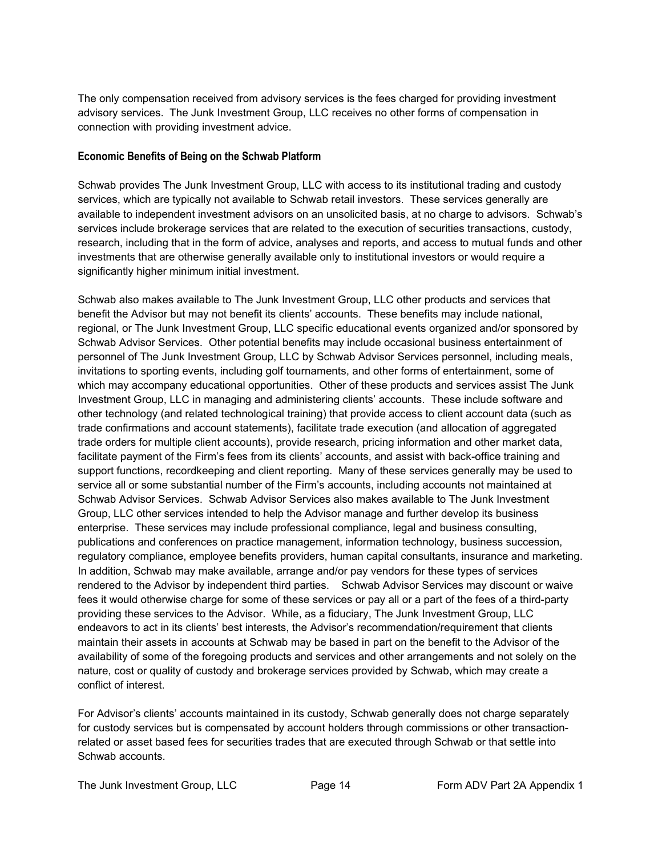The only compensation received from advisory services is the fees charged for providing investment advisory services. The Junk Investment Group, LLC receives no other forms of compensation in connection with providing investment advice.

#### <span id="page-13-0"></span>**Economic Benefits of Being on the Schwab Platform**

Schwab provides The Junk Investment Group, LLC with access to its institutional trading and custody services, which are typically not available to Schwab retail investors. These services generally are available to independent investment advisors on an unsolicited basis, at no charge to advisors. Schwab's services include brokerage services that are related to the execution of securities transactions, custody, research, including that in the form of advice, analyses and reports, and access to mutual funds and other investments that are otherwise generally available only to institutional investors or would require a significantly higher minimum initial investment.

Schwab also makes available to The Junk Investment Group, LLC other products and services that benefit the Advisor but may not benefit its clients' accounts. These benefits may include national, regional, or The Junk Investment Group, LLC specific educational events organized and/or sponsored by Schwab Advisor Services. Other potential benefits may include occasional business entertainment of personnel of The Junk Investment Group, LLC by Schwab Advisor Services personnel, including meals, invitations to sporting events, including golf tournaments, and other forms of entertainment, some of which may accompany educational opportunities. Other of these products and services assist The Junk Investment Group, LLC in managing and administering clients' accounts. These include software and other technology (and related technological training) that provide access to client account data (such as trade confirmations and account statements), facilitate trade execution (and allocation of aggregated trade orders for multiple client accounts), provide research, pricing information and other market data, facilitate payment of the Firm's fees from its clients' accounts, and assist with back-office training and support functions, recordkeeping and client reporting. Many of these services generally may be used to service all or some substantial number of the Firm's accounts, including accounts not maintained at Schwab Advisor Services. Schwab Advisor Services also makes available to The Junk Investment Group, LLC other services intended to help the Advisor manage and further develop its business enterprise. These services may include professional compliance, legal and business consulting, publications and conferences on practice management, information technology, business succession, regulatory compliance, employee benefits providers, human capital consultants, insurance and marketing. In addition, Schwab may make available, arrange and/or pay vendors for these types of services rendered to the Advisor by independent third parties. Schwab Advisor Services may discount or waive fees it would otherwise charge for some of these services or pay all or a part of the fees of a third-party providing these services to the Advisor. While, as a fiduciary, The Junk Investment Group, LLC endeavors to act in its clients' best interests, the Advisor's recommendation/requirement that clients maintain their assets in accounts at Schwab may be based in part on the benefit to the Advisor of the availability of some of the foregoing products and services and other arrangements and not solely on the nature, cost or quality of custody and brokerage services provided by Schwab, which may create a conflict of interest.

For Advisor's clients' accounts maintained in its custody, Schwab generally does not charge separately for custody services but is compensated by account holders through commissions or other transactionrelated or asset based fees for securities trades that are executed through Schwab or that settle into Schwab accounts.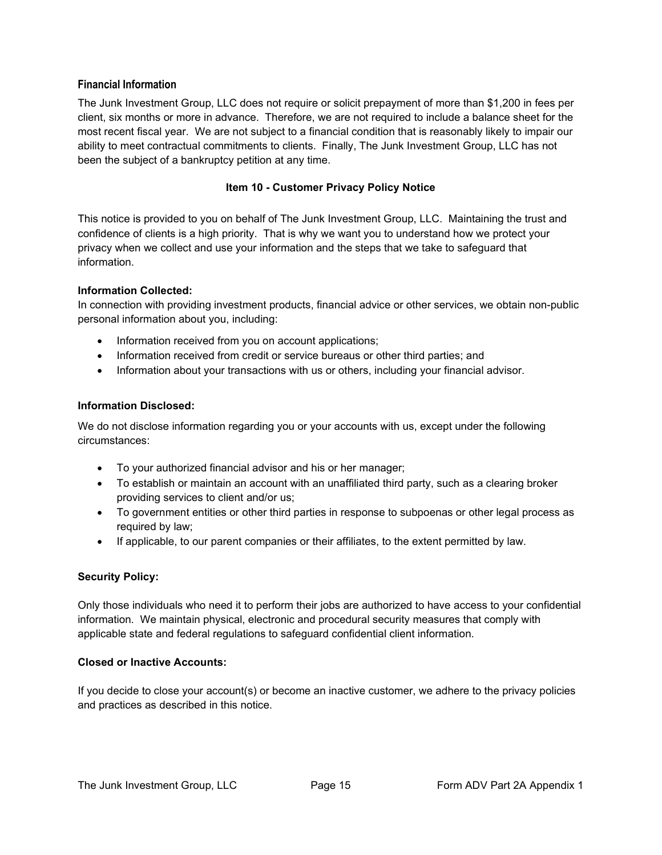#### <span id="page-14-0"></span>**Financial Information**

The Junk Investment Group, LLC does not require or solicit prepayment of more than \$1,200 in fees per client, six months or more in advance. Therefore, we are not required to include a balance sheet for the most recent fiscal year. We are not subject to a financial condition that is reasonably likely to impair our ability to meet contractual commitments to clients. Finally, The Junk Investment Group, LLC has not been the subject of a bankruptcy petition at any time.

#### **Item 10 - Customer Privacy Policy Notice**

<span id="page-14-1"></span>This notice is provided to you on behalf of The Junk Investment Group, LLC. Maintaining the trust and confidence of clients is a high priority. That is why we want you to understand how we protect your privacy when we collect and use your information and the steps that we take to safeguard that information.

#### **Information Collected:**

In connection with providing investment products, financial advice or other services, we obtain non-public personal information about you, including:

- Information received from you on account applications;
- Information received from credit or service bureaus or other third parties; and
- Information about your transactions with us or others, including your financial advisor.

#### **Information Disclosed:**

We do not disclose information regarding you or your accounts with us, except under the following circumstances:

- To your authorized financial advisor and his or her manager;
- To establish or maintain an account with an unaffiliated third party, such as a clearing broker providing services to client and/or us;
- To government entities or other third parties in response to subpoenas or other legal process as required by law;
- If applicable, to our parent companies or their affiliates, to the extent permitted by law.

#### **Security Policy:**

Only those individuals who need it to perform their jobs are authorized to have access to your confidential information. We maintain physical, electronic and procedural security measures that comply with applicable state and federal regulations to safeguard confidential client information.

#### **Closed or Inactive Accounts:**

If you decide to close your account(s) or become an inactive customer, we adhere to the privacy policies and practices as described in this notice.